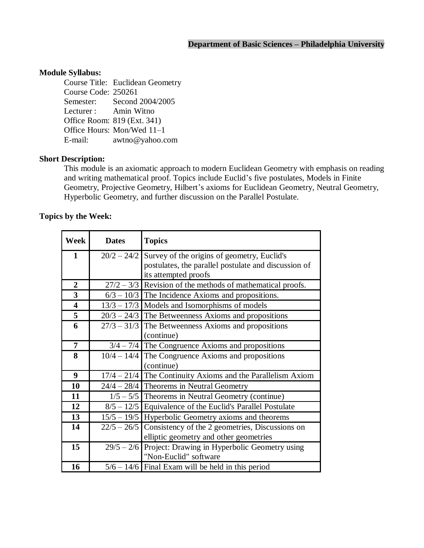### **Module Syllabus:**

Course Title: Euclidean Geometry Course Code: 250261 Semester: Second 2004/2005 Lecturer : Amin Witno Office Room: 819 (Ext. 341) Office Hours: Mon/Wed 11-1 E-mail: [awtno@yahoo.com](mailto:awtno@yahoo.com)

#### **Short Description:**

This module is an axiomatic approach to modern Euclidean Geometry with emphasis on reading and writing mathematical proof. Topics include Euclid's five postulates, Models in Finite Geometry, Projective Geometry, Hilbert's axioms for Euclidean Geometry, Neutral Geometry, Hyperbolic Geometry, and further discussion on the Parallel Postulate.

### **Topics by the Week:**

| Week                    | <b>Dates</b>  | <b>Topics</b>                                                 |
|-------------------------|---------------|---------------------------------------------------------------|
| $\mathbf{1}$            |               | $20/2 - 24/2$ Survey of the origins of geometry, Euclid's     |
|                         |               | postulates, the parallel postulate and discussion of          |
|                         |               | its attempted proofs                                          |
| $\overline{2}$          |               | $27/2 - 3/3$ Revision of the methods of mathematical proofs.  |
| $\mathbf{3}$            |               | $6/3 - 10/3$ The Incidence Axioms and propositions.           |
| $\overline{\mathbf{4}}$ |               | $13/3 - 17/3$ Models and Isomorphisms of models               |
| 5                       |               | $20/3 - 24/3$ The Betweenness Axioms and propositions         |
| 6                       |               | $27/3 - 31/3$ The Betweenness Axioms and propositions         |
|                         |               | (continue)                                                    |
| $\overline{7}$          |               | $3/4 - 7/4$ The Congruence Axioms and propositions            |
| 8                       |               | $10/4 - 14/4$ The Congruence Axioms and propositions          |
|                         |               | (continue)                                                    |
| 9                       |               | $17/4 - 21/4$ The Continuity Axioms and the Parallelism Axiom |
| 10                      |               | $24/4 - 28/4$ Theorems in Neutral Geometry                    |
| 11                      |               | $1/5 - 5/5$ Theorems in Neutral Geometry (continue)           |
| 12                      |               | $8/5 - 12/5$ Equivalence of the Euclid's Parallel Postulate   |
| 13                      |               | $15/5 - 19/5$ Hyperbolic Geometry axioms and theorems         |
| 14                      | $22/5 - 26/5$ | Consistency of the 2 geometries, Discussions on               |
|                         |               | elliptic geometry and other geometries                        |
| 15                      | $29/5 - 2/6$  | Project: Drawing in Hyperbolic Geometry using                 |
|                         |               | "Non-Euclid" software                                         |
| 16                      |               | $5/6 - 14/6$ Final Exam will be held in this period           |